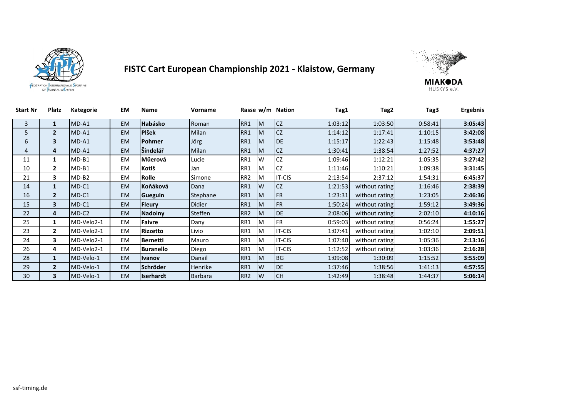



| <b>Start Nr</b> | Platz          | Kategorie  | EM        | <b>Name</b>      | Vorname        |                 |          | Rasse w/m Nation | Tag1    | Tag2           | Tag3    | Ergebnis |
|-----------------|----------------|------------|-----------|------------------|----------------|-----------------|----------|------------------|---------|----------------|---------|----------|
| 3               | $\mathbf{1}$   | $MD-A1$    | <b>EM</b> | Habásko          | Roman          | RR1             | M        | <b>CZ</b>        | 1:03:12 | 1:03:50        | 0:58:41 | 3:05:43  |
| 5.              | $\overline{2}$ | $MD-A1$    | <b>EM</b> | <b>Plšek</b>     | <b>Milan</b>   | RR1             | M        | <b>CZ</b>        | 1:14:12 | 1:17:41        | 1:10:15 | 3:42:08  |
| 6               | 3              | $MD-A1$    | <b>EM</b> | Pohmer           | Jörg           | RR1             | M        | <b>IDE</b>       | 1:15:17 | 1:22:43        | 1:15:48 | 3:53:48  |
| 4               | 4              | $MD-A1$    | <b>EM</b> | Šindelář         | <b>Milan</b>   | RR1             | M        | <b>CZ</b>        | 1:30:41 | 1:38:54        | 1:27:52 | 4:37:27  |
| 11              | 1              | $MD-B1$    | <b>EM</b> | Müerová          | Lucie          | RR1             | W        | <b>CZ</b>        | 1:09:46 | 1:12:21        | 1:05:35 | 3:27:42  |
| 10              | $\overline{2}$ | $MD-B1$    | EM        | Kotiš            | Jan            | RR1             | M        | <b>CZ</b>        | 1:11:46 | 1:10:21        | 1:09:38 | 3:31:45  |
| 21              | 3              | $MD-B2$    | EM        | Rolle            | Simone         | RR <sub>2</sub> | M        | <b>IT-CIS</b>    | 2:13:54 | 2:37:12        | 1:54:31 | 6:45:37  |
| 14              | $\mathbf{1}$   | MD-C1      | <b>EM</b> | Koňáková         | Dana           | RR1             | <b>W</b> | <b>CZ</b>        | 1:21:53 | without rating | 1:16:46 | 2:38:39  |
| 16              | $\overline{2}$ | $MD-C1$    | <b>EM</b> | Gueguin          | Stephane       | RR1             | <b>M</b> | <b>IFR</b>       | 1:23:31 | without rating | 1:23:05 | 2:46:36  |
| 15              | 3              | $MD-C1$    | <b>EM</b> | <b>Fleury</b>    | <b>Didier</b>  | RR1             | M        | <b>IFR</b>       | 1:50:24 | without rating | 1:59:12 | 3:49:36  |
| 22              | 4              | $MD-C2$    | <b>EM</b> | <b>Nadolny</b>   | <b>Steffen</b> | RR <sub>2</sub> | M        | <b>IDE</b>       | 2:08:06 | without rating | 2:02:10 | 4:10:16  |
| 25              | 1              | MD-Velo2-1 | <b>EM</b> | <b>Faivre</b>    | Dany           | RR1             | M        | <b>IFR</b>       | 0:59:03 | without rating | 0:56:24 | 1:55:27  |
| 23              | $\overline{2}$ | MD-Velo2-1 | <b>EM</b> | <b>Rizzetto</b>  | Livio          | RR1             | M        | <b>IT-CIS</b>    | 1:07:41 | without rating | 1:02:10 | 2:09:51  |
| 24              | 3              | MD-Velo2-1 | <b>EM</b> | <b>Bernetti</b>  | Mauro          | RR1             | M        | <b>IT-CIS</b>    | 1:07:40 | without rating | 1:05:36 | 2:13:16  |
| 26              | 4              | MD-Velo2-1 | <b>EM</b> | <b>Buranello</b> | Diego          | RR1             | M        | <b>IT-CIS</b>    | 1:12:52 | without rating | 1:03:36 | 2:16:28  |
| 28              | $\mathbf{1}$   | MD-Velo-1  | <b>EM</b> | <b>Ivanov</b>    | Danail         | RR1             | M        | <b>BG</b>        | 1:09:08 | 1:30:09        | 1:15:52 | 3:55:09  |
| 29              | $\overline{2}$ | MD-Velo-1  | <b>EM</b> | Schröder         | <b>Henrike</b> | RR1             | <b>W</b> | <b>IDE</b>       | 1:37:46 | 1:38:56        | 1:41:13 | 4:57:55  |
| 30              | 3              | MD-Velo-1  | <b>EM</b> | Iserhardt        | <b>Barbara</b> | RR <sub>2</sub> | <b>W</b> | <b>CH</b>        | 1:42:49 | 1:38:48        | 1:44:37 | 5:06:14  |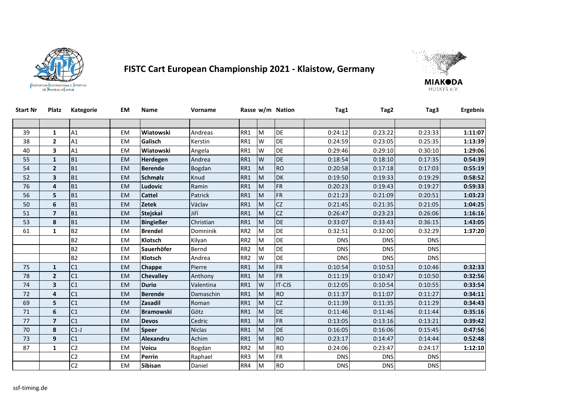



| Start Nr | Platz                   | <b>Kategorie</b> | ΕM        | Name             | Vorname       |                 |          | Rasse w/m Nation | Tag1       | Tag2       | Tag3       | <b>Ergebnis</b> |
|----------|-------------------------|------------------|-----------|------------------|---------------|-----------------|----------|------------------|------------|------------|------------|-----------------|
|          |                         |                  |           |                  |               |                 |          |                  |            |            |            |                 |
| 39       | $\mathbf{1}$            | A1               | <b>EM</b> | Wiatowski        | Andreas       | RR1             | M        | DE               | 0:24:12    | 0:23:22    | 0:23:33    | 1:11:07         |
| 38       | $\mathbf{2}$            | A1               | <b>EM</b> | Galisch          | Kerstin       | RR1             | W        | <b>DE</b>        | 0:24:59    | 0:23:05    | 0:25:35    | 1:13:39         |
| 40       | 3                       | A1               | <b>EM</b> | Wiatowski        | Angela        | RR1             | W        | DE               | 0:29:46    | 0:29:10    | 0:30:10    | 1:29:06         |
| 55       | $\mathbf{1}$            | <b>B1</b>        | <b>EM</b> | Herdegen         | Andrea        | RR1             | W        | <b>DE</b>        | 0:18:54    | 0:18:10    | 0:17:35    | 0:54:39         |
| 54       | $\overline{2}$          | <b>B1</b>        | <b>EM</b> | <b>Berende</b>   | Bogdan        | RR1             | M        | <b>RO</b>        | 0:20:58    | 0:17:18    | 0:17:03    | 0:55:19         |
| 52       | 3                       | <b>B1</b>        | <b>EM</b> | Schmølz          | Knud          | RR1             | <b>M</b> | <b>DK</b>        | 0:19:50    | 0:19:33    | 0:19:29    | 0:58:52         |
| 76       | 4                       | <b>B1</b>        | <b>EM</b> | Ludovic          | Ramin         | RR1             | M        | <b>FR</b>        | 0:20:23    | 0:19:43    | 0:19:27    | 0:59:33         |
| 56       | 5                       | <b>B1</b>        | <b>EM</b> | <b>Cattel</b>    | Patrick       | RR1             | <b>M</b> | FR               | 0:21:23    | 0:21:09    | 0:20:51    | 1:03:23         |
| 50       | 6                       | <b>B1</b>        | <b>EM</b> | <b>Zetek</b>     | Václav        | RR1             | M        | CZ               | 0:21:45    | 0:21:35    | 0:21:05    | 1:04:25         |
| 51       | $\overline{7}$          | <b>B1</b>        | <b>EM</b> | <b>Stejskal</b>  | Jiří          | RR1             | M        | CZ               | 0:26:47    | 0:23:23    | 0:26:06    | 1:16:16         |
| 53       | 8                       | <b>B1</b>        | <b>EM</b> | <b>Bingießer</b> | Christian     | RR1             | M        | <b>DE</b>        | 0:33:07    | 0:33:43    | 0:36:15    | 1:43:05         |
| 61       | 1                       | <b>B2</b>        | <b>EM</b> | <b>Brendel</b>   | Domninik      | RR <sub>2</sub> | M        | DE               | 0:32:51    | 0:32:00    | 0:32:29    | 1:37:20         |
|          |                         | <b>B2</b>        | <b>EM</b> | Klotsch          | Kilyan        | RR <sub>2</sub> | M        | DE               | <b>DNS</b> | <b>DNS</b> | <b>DNS</b> |                 |
|          |                         | <b>B2</b>        | EM        | Sauerhöfer       | Bernd         | RR <sub>2</sub> | M        | DE               | <b>DNS</b> | <b>DNS</b> | <b>DNS</b> |                 |
|          |                         | <b>B2</b>        | <b>EM</b> | Klotsch          | Andrea        | RR <sub>2</sub> | W        | DE               | <b>DNS</b> | <b>DNS</b> | <b>DNS</b> |                 |
| 75       | $\mathbf{1}$            | C <sub>1</sub>   | <b>EM</b> | <b>Chappe</b>    | Pierre        | RR1             | M        | <b>FR</b>        | 0:10:54    | 0:10:53    | 0:10:46    | 0:32:33         |
| 78       | $\overline{2}$          | C <sub>1</sub>   | <b>EM</b> | <b>Chevalley</b> | Anthony       | RR1             | M        | <b>FR</b>        | 0:11:19    | 0:10:47    | 0:10:50    | 0:32:56         |
| 74       | $\overline{\mathbf{3}}$ | C <sub>1</sub>   | <b>EM</b> | <b>Durio</b>     | Valentina     | RR1             | IW       | <b>IT-CIS</b>    | 0:12:05    | 0:10:54    | 0:10:55    | 0:33:54         |
| 72       | 4                       | C <sub>1</sub>   | <b>EM</b> | <b>Berende</b>   | Damaschin     | RR1             | M        | <b>RO</b>        | 0:11:37    | 0:11:07    | 0:11:27    | 0:34:11         |
| 69       | 5                       | C <sub>1</sub>   | <b>EM</b> | Zasadil          | Roman         | RR1             | <b>M</b> | CZ               | 0:11:39    | 0:11:35    | 0:11:29    | 0:34:43         |
| 71       | 6                       | C <sub>1</sub>   | <b>EM</b> | <b>Bramowski</b> | Götz          | RR1             | M        | <b>DE</b>        | 0:11:46    | 0:11:46    | 0:11:44    | 0:35:16         |
| 77       | $\overline{7}$          | C <sub>1</sub>   | <b>EM</b> | <b>Devos</b>     | Cedric        | RR1             | M        | FR               | 0:13:05    | 0:13:16    | 0:13:21    | 0:39:42         |
| 70       | 8                       | $C1-J$           | <b>EM</b> | <b>Speer</b>     | <b>Niclas</b> | RR1             | M        | DE               | 0:16:05    | 0:16:06    | 0:15:45    | 0:47:56         |
| 73       | 9                       | C1               | <b>EM</b> | Alexandru        | Achim         | RR1             | M        | <b>RO</b>        | 0:23:17    | 0:14:47    | 0:14:44    | 0:52:48         |
| 87       | $\mathbf{1}$            | C <sub>2</sub>   | <b>EM</b> | <b>Voicu</b>     | Bogdan        | RR <sub>2</sub> | M        | <b>RO</b>        | 0:24:06    | 0:23:47    | 0:24:17    | 1:12:10         |
|          |                         | C <sub>2</sub>   | EM        | Perrin           | Raphael       | RR3             | M        | ${\sf FR}$       | <b>DNS</b> | <b>DNS</b> | <b>DNS</b> |                 |
|          |                         | C <sub>2</sub>   | <b>EM</b> | Sibisan          | Daniel        | RR4             | M        | <b>RO</b>        | <b>DNS</b> | <b>DNS</b> | <b>DNS</b> |                 |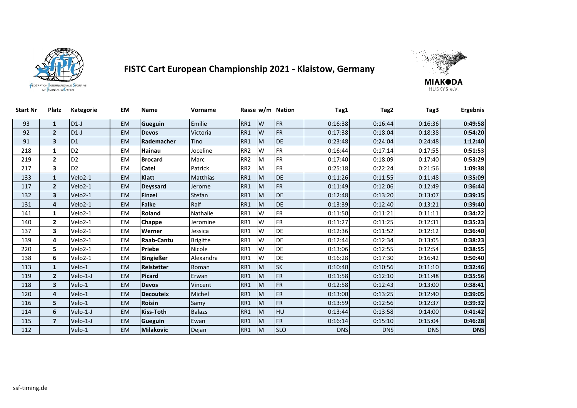



| <b>Start Nr</b> | <b>Platz</b>   | <b>Kategorie</b>     | EM        | Name              | Vorname         |                 |           | Rasse w/m Nation | Tag1       | Tag2       | Tag3       | Ergebnis   |
|-----------------|----------------|----------------------|-----------|-------------------|-----------------|-----------------|-----------|------------------|------------|------------|------------|------------|
| 93              | $\mathbf{1}$   | $D1-J$               | <b>EM</b> | Gueguin           | Emilie          | RR1             | IW        | <b>FR</b>        | 0:16:38    | 0:16:44    | 0:16:36    | 0:49:58    |
| 92              | $\overline{2}$ | $D1-J$               | EM        | <b>Devos</b>      | Victoria        | RR1             | W         | <b>FR</b>        | 0:17:38    | 0:18:04    | 0:18:38    | 0:54:20    |
| 91              | 3              | D <sub>1</sub>       | <b>EM</b> | Rademacher        | Tino            | RR1             | <b>IM</b> | DE               | 0:23:48    | 0:24:04    | 0:24:48    | 1:12:40    |
| 218             | $\mathbf{1}$   | D <sub>2</sub>       | EM        | <b>Hainau</b>     | Joceline        | RR <sub>2</sub> | W         | <b>FR</b>        | 0:16:44    | 0:17:14    | 0:17:55    | 0:51:53    |
| 219             | $\mathbf{2}$   | D <sub>2</sub>       | EM        | <b>Brocard</b>    | Marc            | RR <sub>2</sub> | M         | <b>FR</b>        | 0:17:40    | 0:18:09    | 0:17:40    | 0:53:29    |
| 217             | 3              | D <sub>2</sub>       | EM.       | Catel             | Patrick         | RR <sub>2</sub> | M         | <b>FR</b>        | 0:25:18    | 0:22:24    | 0:21:56    | 1:09:38    |
| 133             | $\mathbf{1}$   | Velo2-1              | <b>EM</b> | Klatt             | <b>Matthias</b> | RR1             | M         | DE               | 0:11:26    | 0:11:55    | 0:11:48    | 0:35:09    |
| 117             | $\overline{2}$ | Velo2-1              | <b>EM</b> | <b>Deyssard</b>   | Jerome          | RR1             | <b>IM</b> | <b>FR</b>        | 0:11:49    | 0:12:06    | 0:12:49    | 0:36:44    |
| 132             | 3              | Velo2-1              | <b>EM</b> | <b>Finzel</b>     | Stefan          | RR1             | M         | DE               | 0:12:48    | 0:13:20    | 0:13:07    | 0:39:15    |
| 131             | 4              | Velo2-1              | EM        | <b>Falke</b>      | Ralf            | RR1             | M         | DE               | 0:13:39    | 0:12:40    | 0:13:21    | 0:39:40    |
| 141             | $\mathbf{1}$   | Velo2-1              | EM        | Roland            | Nathalie        | RR1             | W         | <b>FR</b>        | 0:11:50    | 0:11:21    | 0:11:11    | 0:34:22    |
| 140             | $\mathbf{2}$   | Velo2-1              | EM        | Chappe            | Jeromine        | RR1             | W         | <b>FR</b>        | 0:11:27    | 0:11:25    | 0:12:31    | 0:35:23    |
| 137             | 3              | Velo2-1              | EM        | Werner            | Jessica         | RR1             | W         | <b>DE</b>        | 0:12:36    | 0:11:52    | 0:12:12    | 0:36:40    |
| 139             | 4              | Velo2-1              | EM        | <b>Raab-Cantu</b> | <b>Brigitte</b> | RR1             | W         | <b>DE</b>        | 0:12:44    | 0:12:34    | 0:13:05    | 0:38:23    |
| 220             | 5              | Velo2-1              | EM        | Priebe            | Nicole          | RR1             | W         | <b>DE</b>        | 0:13:06    | 0:12:55    | 0:12:54    | 0:38:55    |
| 138             | 6              | Velo <sub>2</sub> -1 | EM        | <b>Bingießer</b>  | Alexandra       | RR1             | W         | DE               | 0:16:28    | 0:17:30    | 0:16:42    | 0:50:40    |
| 113             | $\mathbf{1}$   | Velo-1               | <b>EM</b> | Reistetter        | Roman           | RR1             | <b>IM</b> | <b>SK</b>        | 0:10:40    | 0:10:56    | 0:11:10    | 0:32:46    |
| 119             | $\overline{2}$ | Velo-1-J             | <b>EM</b> | <b>Picard</b>     | Erwan           | RR1             | <b>M</b>  | <b>FR</b>        | 0:11:58    | 0:12:10    | 0:11:48    | 0:35:56    |
| 118             | 3              | Velo-1               | <b>EM</b> | <b>Devos</b>      | Vincent         | RR1             | <b>M</b>  | <b>FR</b>        | 0:12:58    | 0:12:43    | 0:13:00    | 0:38:41    |
| 120             | 4              | Velo-1               | <b>EM</b> | <b>Decouteix</b>  | Michel          | RR1             | <b>M</b>  | <b>FR</b>        | 0:13:00    | 0:13:25    | 0:12:40    | 0:39:05    |
| 116             | 5              | Velo-1               | EM        | <b>Roisin</b>     | Samy            | RR1             | M         | <b>FR</b>        | 0:13:59    | 0:12:56    | 0:12:37    | 0:39:32    |
| 114             | 6              | Velo-1-J             | <b>EM</b> | <b>Kiss-Toth</b>  | <b>Balazs</b>   | RR1             | <b>M</b>  | HU               | 0:13:44    | 0:13:58    | 0:14:00    | 0:41:42    |
| 115             | $\overline{7}$ | Velo-1-J             | <b>EM</b> | Gueguin           | Ewan            | RR1             | M         | <b>FR</b>        | 0:16:14    | 0:15:10    | 0:15:04    | 0:46:28    |
| 112             |                | Velo-1               | <b>EM</b> | <b>Milakovic</b>  | Dejan           | RR1             | M         | <b>SLO</b>       | <b>DNS</b> | <b>DNS</b> | <b>DNS</b> | <b>DNS</b> |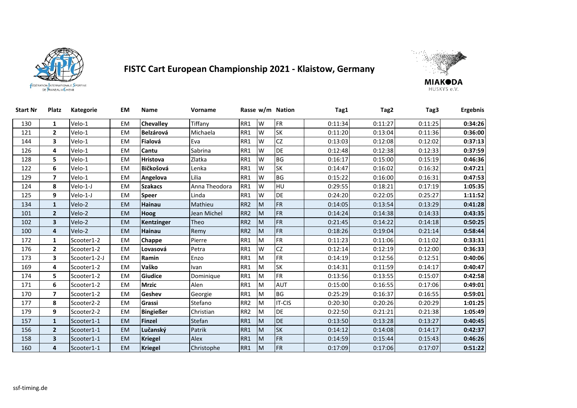



| <b>Start Nr</b> | <b>Platz</b>             | Kategorie    | <b>EM</b> | <b>Name</b>      | Vorname       |                 |   | Rasse w/m Nation | Tag1    | Tag2    | Tag3    | <b>Ergebnis</b> |
|-----------------|--------------------------|--------------|-----------|------------------|---------------|-----------------|---|------------------|---------|---------|---------|-----------------|
| 130             | 1                        | Velo-1       | <b>EM</b> | Chevalley        | Tiffany       | RR1             | W | <b>FR</b>        | 0:11:34 | 0:11:27 | 0:11:25 | 0:34:26         |
| 121             | $\mathbf{2}$             | Velo-1       | EM        | <b>Belzárová</b> | Michaela      | RR1             | W | SK               | 0:11:20 | 0:13:04 | 0:11:36 | 0:36:00         |
| 144             | 3                        | Velo-1       | <b>EM</b> | Fialová          | Eva           | RR1             | W | CZ               | 0:13:03 | 0:12:08 | 0:12:02 | 0:37:13         |
| 126             | 4                        | Velo-1       | EM        | Cantu            | Sabrina       | RR1             | W | DE               | 0:12:48 | 0:12:38 | 0:12:33 | 0:37:59         |
| 128             | 5                        | Velo-1       | EM        | <b>Hristova</b>  | Zlatka        | RR1             | W | BG               | 0:16:17 | 0:15:00 | 0:15:19 | 0:46:36         |
| 122             | 6                        | Velo-1       | <b>EM</b> | Bičkošová        | Lenka         | RR1             | W | <b>SK</b>        | 0:14:47 | 0:16:02 | 0:16:32 | 0:47:21         |
| 129             | $\overline{ }$           | Velo-1       | <b>EM</b> | Angelova         | Lilia         | RR1             | W | BG               | 0:15:22 | 0:16:00 | 0:16:31 | 0:47:53         |
| 124             | 8                        | Velo-1-J     | <b>EM</b> | <b>Szakacs</b>   | Anna Theodora | RR1             | W | HU               | 0:29:55 | 0:18:21 | 0:17:19 | 1:05:35         |
| 125             | 9                        | Velo-1-J     | EM        | <b>Speer</b>     | Linda         | RR1             | W | DE               | 0:24:20 | 0:22:05 | 0:25:27 | 1:11:52         |
| 134             | $\mathbf{1}$             | Velo-2       | <b>EM</b> | <b>Hainau</b>    | Mathieu       | RR <sub>2</sub> | M | FR               | 0:14:05 | 0:13:54 | 0:13:29 | 0:41:28         |
| 101             | $\overline{2}$           | Velo-2       | <b>EM</b> | Hoog             | Jean Michel   | RR <sub>2</sub> | M | <b>FR</b>        | 0:14:24 | 0:14:38 | 0:14:33 | 0:43:35         |
| 102             | 3                        | Velo-2       | <b>EM</b> | Kentzinger       | Theo          | RR <sub>2</sub> | M | FR               | 0:21:45 | 0:14:22 | 0:14:18 | 0:50:25         |
| 100             | 4                        | Velo-2       | <b>EM</b> | <b>Hainau</b>    | Remy          | RR <sub>2</sub> | M | <b>FR</b>        | 0:18:26 | 0:19:04 | 0:21:14 | 0:58:44         |
| 172             | $\mathbf{1}$             | Scooter1-2   | <b>EM</b> | Chappe           | Pierre        | RR1             | M | <b>FR</b>        | 0:11:23 | 0:11:06 | 0:11:02 | 0:33:31         |
| 176             | $\mathbf{2}$             | Scooter1-2   | <b>EM</b> | Lovasová         | Petra         | RR1             | W | CZ               | 0:12:14 | 0:12:19 | 0:12:00 | 0:36:33         |
| 173             | 3                        | Scooter1-2-J | EM        | Ramin            | Enzo          | RR1             | M | <b>FR</b>        | 0:14:19 | 0:12:56 | 0:12:51 | 0:40:06         |
| 169             | 4                        | Scooter1-2   | EM        | Vaško            | Ivan          | RR1             | M | <b>SK</b>        | 0:14:31 | 0:11:59 | 0:14:17 | 0:40:47         |
| 174             | 5                        | Scooter1-2   | <b>EM</b> | Giudice          | Dominique     | RR1             | M | <b>FR</b>        | 0:13:56 | 0:13:55 | 0:15:07 | 0:42:58         |
| 171             | 6                        | Scooter1-2   | EM        | <b>Mrzic</b>     | Alen          | RR1             | M | <b>AUT</b>       | 0:15:00 | 0:16:55 | 0:17:06 | 0:49:01         |
| 170             | $\overline{\phantom{a}}$ | Scooter1-2   | <b>EM</b> | Geshev           | Georgie       | RR1             | M | BG               | 0:25:29 | 0:16:37 | 0:16:55 | 0:59:01         |
| 177             | 8                        | Scooter2-2   | EM        | Grassi           | Stefano       | RR <sub>2</sub> | M | IT-CIS           | 0:20:30 | 0:20:26 | 0:20:29 | 1:01:25         |
| 179             | 9                        | Scooter2-2   | <b>EM</b> | <b>Bingießer</b> | Christian     | RR <sub>2</sub> | M | DE               | 0:22:50 | 0:21:21 | 0:21:38 | 1:05:49         |
| 157             | $\mathbf{1}$             | Scooter1-1   | <b>EM</b> | <b>Finzel</b>    | Stefan        | RR1             | M | DE               | 0:13:50 | 0:13:28 | 0:13:27 | 0:40:45         |
| 156             | $\overline{2}$           | Scooter1-1   | <b>EM</b> | Lučanský         | Patrik        | RR1             | M | <b>SK</b>        | 0:14:12 | 0:14:08 | 0:14:17 | 0:42:37         |
| 158             | 3                        | Scooter1-1   | <b>EM</b> | <b>Kriegel</b>   | Alex          | RR1             | M | <b>FR</b>        | 0:14:59 | 0:15:44 | 0:15:43 | 0:46:26         |
| 160             | 4                        | Scooter1-1   | <b>EM</b> | <b>Kriegel</b>   | Christophe    | RR1             | M | FR               | 0:17:09 | 0:17:06 | 0:17:07 | 0:51:22         |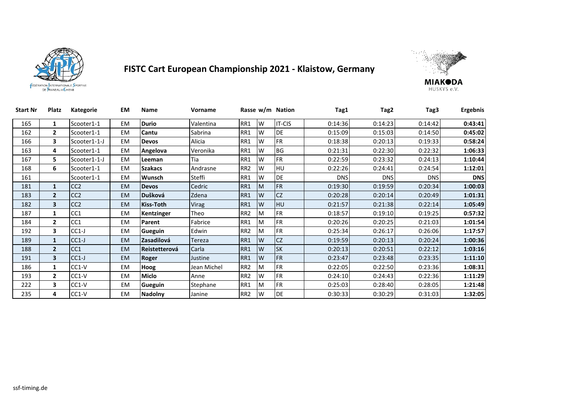



| <b>Start Nr</b> | Platz          | Kategorie       | EM        | <b>Name</b>          | Vorname      |                 |   | Rasse w/m Nation | Tag1       | Tag2       | Tag3       | <b>Ergebnis</b> |
|-----------------|----------------|-----------------|-----------|----------------------|--------------|-----------------|---|------------------|------------|------------|------------|-----------------|
| 165             | $\mathbf{1}$   | Scooter1-1      | EM        | <b>Durio</b>         | Valentina    | RR1             | W | IT-CIS           | 0:14:36    | 0:14:23    | 0:14:42    | 0:43:41         |
| 162             | $\overline{2}$ | Scooter1-1      | EM        | Cantu                | Sabrina      | RR1             | W | <b>DE</b>        | 0:15:09    | 0:15:03    | 0:14:50    | 0:45:02         |
| 166             | 3              | Scooter1-1-J    | EM        | <b>Devos</b>         | Alicia       | RR1             | W | <b>FR</b>        | 0:18:38    | 0:20:13    | 0:19:33    | 0:58:24         |
| 163             | 4              | Scooter1-1      | EM        | Angelova             | Veronika     | RR1             | W | <b>BG</b>        | 0:21:31    | 0:22:30    | 0:22:32    | 1:06:33         |
| 167             | 5.             | Scooter1-1-J    | EM        | Leeman               | Tia          | RR1             | W | <b>FR</b>        | 0:22:59    | 0:23:32    | 0:24:13    | 1:10:44         |
| 168             | 6              | Scooter1-1      | EM        | <b>Szakacs</b>       | Andrasne     | RR <sub>2</sub> | W | <b>HU</b>        | 0:22:26    | 0:24:41    | 0:24:54    | 1:12:01         |
| 161             |                | Scooter1-1      | EM        | <b>Wunsch</b>        | Steffi       | RR1             | W | <b>DE</b>        | <b>DNS</b> | <b>DNS</b> | <b>DNS</b> | <b>DNS</b>      |
| 181             | $\mathbf{1}$   | CC <sub>2</sub> | <b>EM</b> | <b>Devos</b>         | Cedric       | RR1             | M | <b>FR</b>        | 0:19:30    | 0:19:59    | 0:20:34    | 1:00:03         |
| 183             | $\overline{2}$ | CC <sub>2</sub> | <b>EM</b> | Dušková              | Zdena        | RR1             | W | CZ               | 0:20:28    | 0:20:14    | 0:20:49    | 1:01:31         |
| 182             | 3              | CC <sub>2</sub> | <b>EM</b> | <b>Kiss-Toth</b>     | <b>Virag</b> | RR1             | W | <b>HU</b>        | 0:21:57    | 0:21:38    | 0:22:14    | 1:05:49         |
| 187             | $\mathbf{1}$   | CC <sub>1</sub> | EM        | Kentzinger           | Theo         | RR <sub>2</sub> | M | <b>FR</b>        | 0:18:57    | 0:19:10    | 0:19:25    | 0:57:32         |
| 184             | $\overline{2}$ | CC <sub>1</sub> | EM        | Parent               | Fabrice      | RR1             | M | <b>FR</b>        | 0:20:26    | 0:20:25    | 0:21:03    | 1:01:54         |
| 192             | 3              | $CC1-J$         | EM        | Gueguin              | Edwin        | RR <sub>2</sub> | M | <b>FR</b>        | 0:25:34    | 0:26:17    | 0:26:06    | 1:17:57         |
| 189             | $\mathbf{1}$   | $CC1-J$         | <b>EM</b> | Zasadilová           | Tereza       | RR1             | W | CZ               | 0:19:59    | 0:20:13    | 0:20:24    | 1:00:36         |
| 188             | $\overline{2}$ | CC <sub>1</sub> | <b>EM</b> | <b>Reistetterová</b> | Carla        | RR1             | W | <b>SK</b>        | 0:20:13    | 0:20:51    | 0:22:12    | 1:03:16         |
| 191             | 3              | $CC1-J$         | <b>EM</b> | Roger                | Justine      | RR1             | W | <b>FR</b>        | 0:23:47    | 0:23:48    | 0:23:35    | 1:11:10         |
| 186             | $\mathbf{1}$   | $CC1-V$         | EM        | Hoog                 | Jean Michel  | RR <sub>2</sub> | M | <b>FR</b>        | 0:22:05    | 0:22:50    | 0:23:36    | 1:08:31         |
| 193             | $\mathbf{2}$   | $CC1-V$         | EM        | <b>Miclo</b>         | Anne         | RR <sub>2</sub> | W | <b>FR</b>        | 0:24:10    | 0:24:43    | 0:22:36    | 1:11:29         |
| 222             | 3              | $CC1-V$         | EM        | Gueguin              | Stephane     | RR1             | M | <b>FR</b>        | 0:25:03    | 0:28:40    | 0:28:05    | 1:21:48         |
| 235             | 4              | CC1-V           | EM        | <b>Nadolny</b>       | Janine       | RR <sub>2</sub> | W | <b>DE</b>        | 0:30:33    | 0:30:29    | 0:31:03    | 1:32:05         |